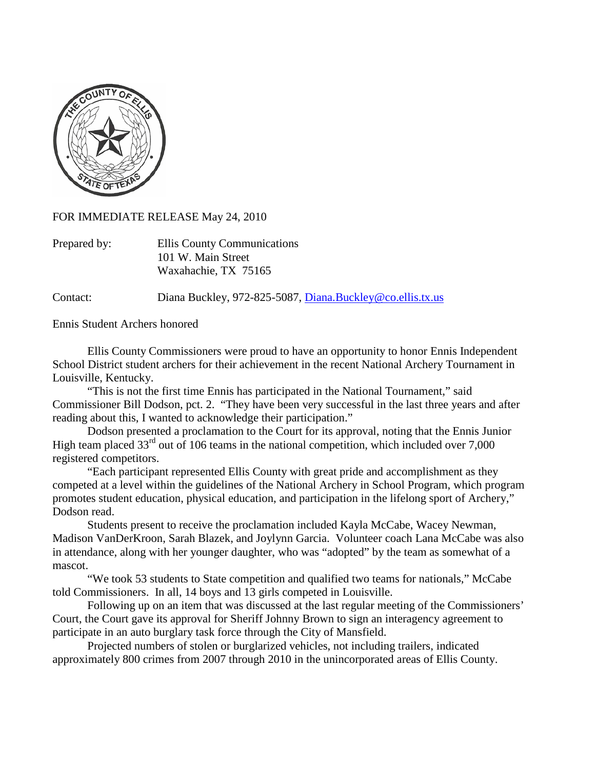

FOR IMMEDIATE RELEASE May 24, 2010

| Prepared by: | Ellis County Communications |
|--------------|-----------------------------|
|              | 101 W. Main Street          |
|              | Waxahachie, TX 75165        |

Contact: Diana Buckley, 972-825-5087, [Diana.Buckley@co.ellis.tx.us](mailto:Diana.Buckley@co.ellis.tx.us)

Ennis Student Archers honored

Ellis County Commissioners were proud to have an opportunity to honor Ennis Independent School District student archers for their achievement in the recent National Archery Tournament in Louisville, Kentucky.

"This is not the first time Ennis has participated in the National Tournament," said Commissioner Bill Dodson, pct. 2. "They have been very successful in the last three years and after reading about this, I wanted to acknowledge their participation."

Dodson presented a proclamation to the Court for its approval, noting that the Ennis Junior High team placed  $33<sup>rd</sup>$  out of 106 teams in the national competition, which included over 7,000 registered competitors.

"Each participant represented Ellis County with great pride and accomplishment as they competed at a level within the guidelines of the National Archery in School Program, which program promotes student education, physical education, and participation in the lifelong sport of Archery," Dodson read.

Students present to receive the proclamation included Kayla McCabe, Wacey Newman, Madison VanDerKroon, Sarah Blazek, and Joylynn Garcia. Volunteer coach Lana McCabe was also in attendance, along with her younger daughter, who was "adopted" by the team as somewhat of a mascot.

"We took 53 students to State competition and qualified two teams for nationals," McCabe told Commissioners. In all, 14 boys and 13 girls competed in Louisville.

Following up on an item that was discussed at the last regular meeting of the Commissioners' Court, the Court gave its approval for Sheriff Johnny Brown to sign an interagency agreement to participate in an auto burglary task force through the City of Mansfield.

Projected numbers of stolen or burglarized vehicles, not including trailers, indicated approximately 800 crimes from 2007 through 2010 in the unincorporated areas of Ellis County.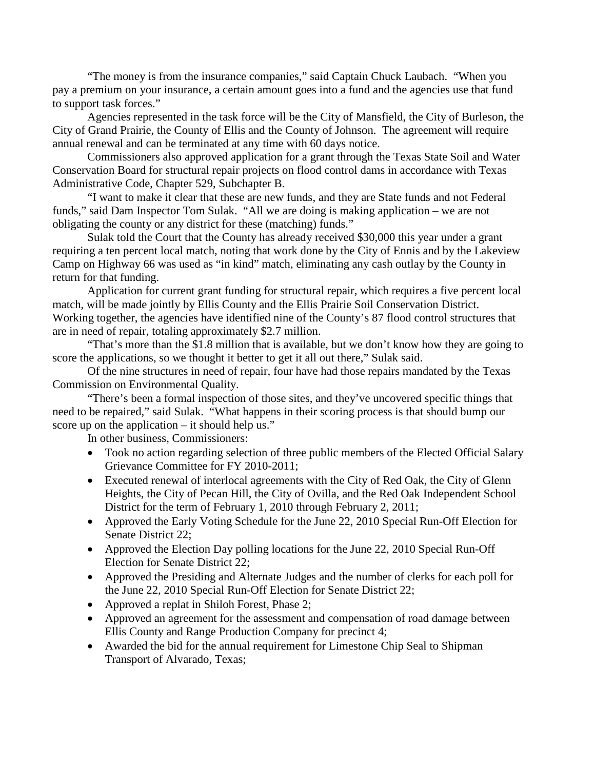"The money is from the insurance companies," said Captain Chuck Laubach. "When you pay a premium on your insurance, a certain amount goes into a fund and the agencies use that fund to support task forces."

Agencies represented in the task force will be the City of Mansfield, the City of Burleson, the City of Grand Prairie, the County of Ellis and the County of Johnson. The agreement will require annual renewal and can be terminated at any time with 60 days notice.

Commissioners also approved application for a grant through the Texas State Soil and Water Conservation Board for structural repair projects on flood control dams in accordance with Texas Administrative Code, Chapter 529, Subchapter B.

"I want to make it clear that these are new funds, and they are State funds and not Federal funds," said Dam Inspector Tom Sulak. "All we are doing is making application – we are not obligating the county or any district for these (matching) funds."

Sulak told the Court that the County has already received \$30,000 this year under a grant requiring a ten percent local match, noting that work done by the City of Ennis and by the Lakeview Camp on Highway 66 was used as "in kind" match, eliminating any cash outlay by the County in return for that funding.

Application for current grant funding for structural repair, which requires a five percent local match, will be made jointly by Ellis County and the Ellis Prairie Soil Conservation District. Working together, the agencies have identified nine of the County's 87 flood control structures that are in need of repair, totaling approximately \$2.7 million.

"That's more than the \$1.8 million that is available, but we don't know how they are going to score the applications, so we thought it better to get it all out there," Sulak said.

Of the nine structures in need of repair, four have had those repairs mandated by the Texas Commission on Environmental Quality.

"There's been a formal inspection of those sites, and they've uncovered specific things that need to be repaired," said Sulak. "What happens in their scoring process is that should bump our score up on the application – it should help us."

In other business, Commissioners:

- Took no action regarding selection of three public members of the Elected Official Salary Grievance Committee for FY 2010-2011;
- Executed renewal of interlocal agreements with the City of Red Oak, the City of Glenn Heights, the City of Pecan Hill, the City of Ovilla, and the Red Oak Independent School District for the term of February 1, 2010 through February 2, 2011;
- Approved the Early Voting Schedule for the June 22, 2010 Special Run-Off Election for Senate District 22;
- Approved the Election Day polling locations for the June 22, 2010 Special Run-Off Election for Senate District 22;
- Approved the Presiding and Alternate Judges and the number of clerks for each poll for the June 22, 2010 Special Run-Off Election for Senate District 22;
- Approved a replat in Shiloh Forest, Phase 2;
- Approved an agreement for the assessment and compensation of road damage between Ellis County and Range Production Company for precinct 4;
- Awarded the bid for the annual requirement for Limestone Chip Seal to Shipman Transport of Alvarado, Texas;